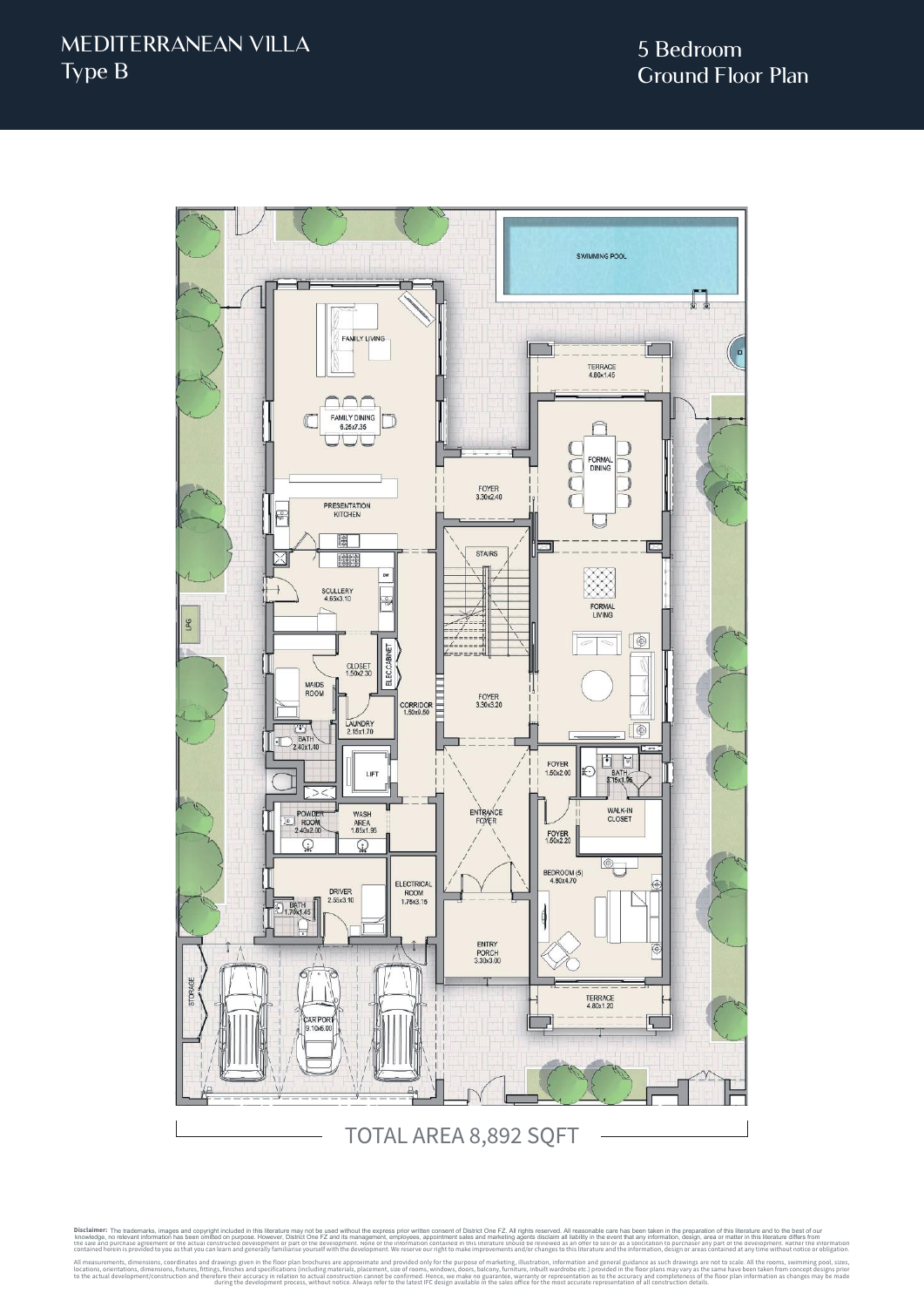

Disclaimer: The trademarks, images and copyright included in this literature may not be used without the express prior written consent of District One FZ. All rights reserved. All reasonable care has been taken in the prep knowledge, no relevant information has been omitted on purpose. However, District One FZ and its management, employese, appointmet sales and marketing agents discussed in the every metally and the every metally and the rev contained herein is provided to you as that you can learn and generally familiarise yourself with the development. We reserve our right to make improvements and/or changes to this literature and the information, design or All measurements, dimensions, coordinates and drawings given in the floor plan brochures are approximate and provided only for the purpose of marketing, illustration, information and general guidance as such drawings are n during the development process, without notice. Always refer to the latest IFC design available in the sales office for the most accurate representation of all construction details. The trademarks, images and copyright included in this literature may not be used without the express prior written consent of District One FZ. All rights reserved. All reasonable care has been taken in the preparation of t